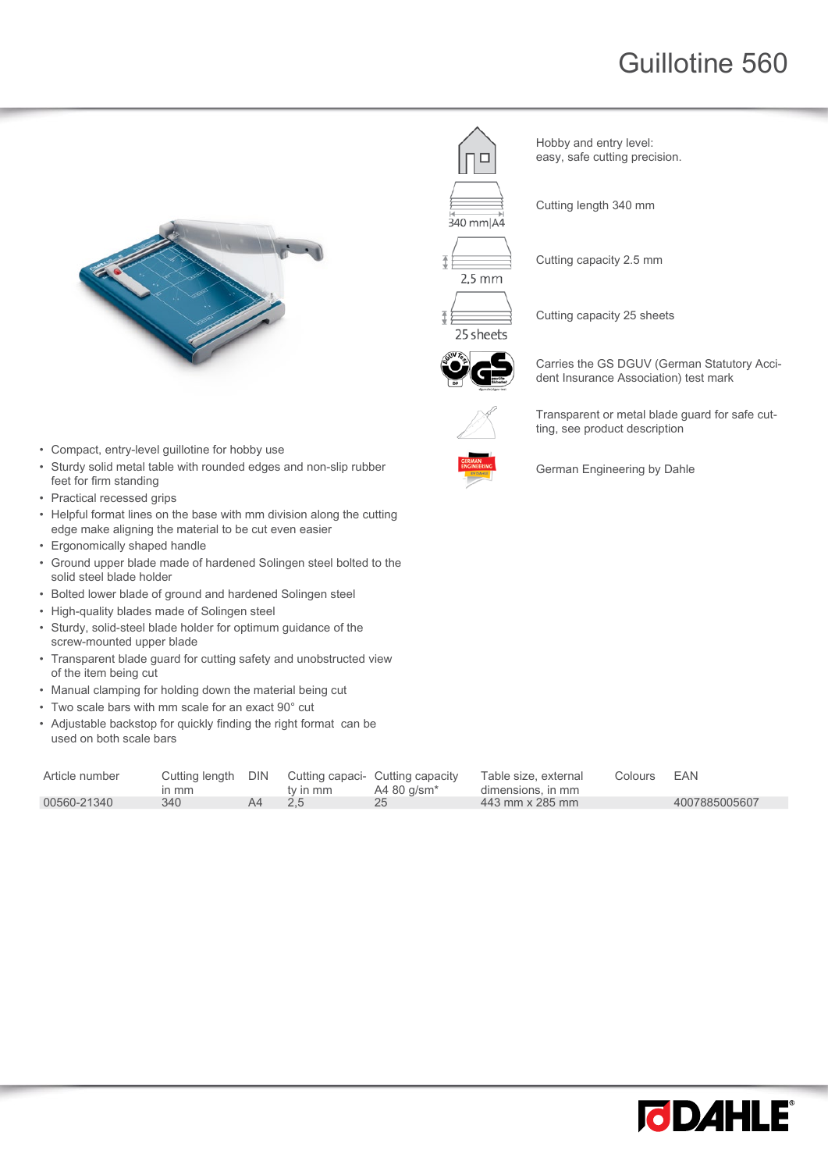## Guillotine 560



Hobby and entry level: easy, safe cutting precision.

Cutting length 340 mm



340 mm A4

Cutting capacity 2.5 mm

Cutting capacity 25 sheets

25 sheets



Carries the GS DGUV (German Statutory Accident Insurance Association) test mark

Transparent or metal blade guard for safe cutting, see product description



German Engineering by Dahle

- Compact, entry-level guillotine for hobby use • Sturdy solid metal table with rounded edges and non-slip rubber feet for firm standing
- Practical recessed grips
- Helpful format lines on the base with mm division along the cutting edge make aligning the material to be cut even easier
- Ergonomically shaped handle
- Ground upper blade made of hardened Solingen steel bolted to the solid steel blade holder
- Bolted lower blade of ground and hardened Solingen steel
- High-quality blades made of Solingen steel
- Sturdy, solid-steel blade holder for optimum guidance of the screw-mounted upper blade
- Transparent blade guard for cutting safety and unobstructed view of the item being cut
- Manual clamping for holding down the material being cut
- Two scale bars with mm scale for an exact 90° cut
- Adjustable backstop for quickly finding the right format can be used on both scale bars

| Article number | Cutting length DIN<br>$m$ mm |    | ty in mm | Cutting capaci- Cutting capacity<br>A4 80 a/sm* | Table size, external<br>dimensions, in mm | Colours | EAN           |
|----------------|------------------------------|----|----------|-------------------------------------------------|-------------------------------------------|---------|---------------|
| 00560-21340    | 340                          | A4 | 2.5      |                                                 | 443 mm x 285 mm                           |         | 4007885005607 |